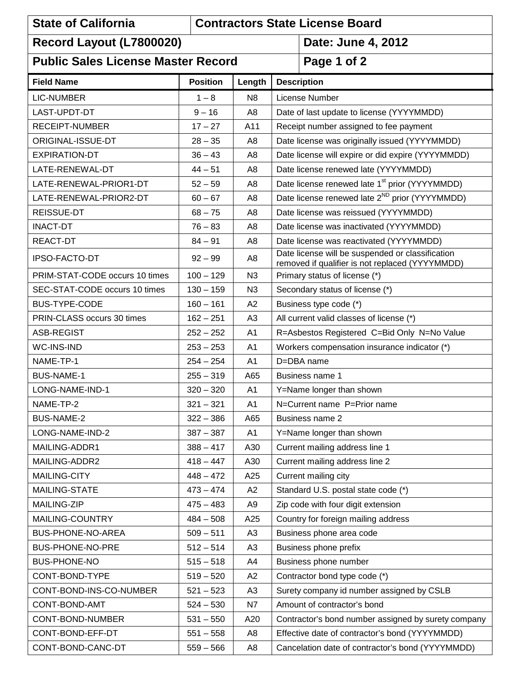| <b>State of California</b>                |                 | <b>Contractors State License Board</b> |                                                                                                     |  |  |  |  |
|-------------------------------------------|-----------------|----------------------------------------|-----------------------------------------------------------------------------------------------------|--|--|--|--|
| Record Layout (L7800020)                  |                 |                                        | Date: June 4, 2012                                                                                  |  |  |  |  |
| <b>Public Sales License Master Record</b> |                 |                                        | Page 1 of 2                                                                                         |  |  |  |  |
| <b>Field Name</b>                         | <b>Position</b> | Length                                 | <b>Description</b>                                                                                  |  |  |  |  |
| LIC-NUMBER                                | $1 - 8$         | N <sub>8</sub>                         | License Number                                                                                      |  |  |  |  |
| LAST-UPDT-DT                              | $9 - 16$        | A <sub>8</sub>                         | Date of last update to license (YYYYMMDD)                                                           |  |  |  |  |
| <b>RECEIPT-NUMBER</b>                     | $17 - 27$       | A11                                    | Receipt number assigned to fee payment                                                              |  |  |  |  |
| ORIGINAL-ISSUE-DT                         | $28 - 35$       | A <sub>8</sub>                         | Date license was originally issued (YYYYMMDD)                                                       |  |  |  |  |
| <b>EXPIRATION-DT</b>                      | $36 - 43$       | A8                                     | Date license will expire or did expire (YYYYMMDD)                                                   |  |  |  |  |
| LATE-RENEWAL-DT                           | $44 - 51$       | A <sub>8</sub>                         | Date license renewed late (YYYYMMDD)                                                                |  |  |  |  |
| LATE-RENEWAL-PRIOR1-DT                    | $52 - 59$       | A <sub>8</sub>                         | Date license renewed late 1 <sup>st</sup> prior (YYYYMMDD)                                          |  |  |  |  |
| LATE-RENEWAL-PRIOR2-DT                    | $60 - 67$       | A <sub>8</sub>                         | Date license renewed late 2 <sup>ND</sup> prior (YYYYMMDD)                                          |  |  |  |  |
| <b>REISSUE-DT</b>                         | $68 - 75$       | A <sub>8</sub>                         | Date license was reissued (YYYYMMDD)                                                                |  |  |  |  |
| <b>INACT-DT</b>                           | $76 - 83$       | A <sub>8</sub>                         | Date license was inactivated (YYYYMMDD)                                                             |  |  |  |  |
| REACT-DT                                  | $84 - 91$       | A <sub>8</sub>                         | Date license was reactivated (YYYYMMDD)                                                             |  |  |  |  |
| IPSO-FACTO-DT                             | $92 - 99$       | A <sub>8</sub>                         | Date license will be suspended or classification<br>removed if qualifier is not replaced (YYYYMMDD) |  |  |  |  |
| PRIM-STAT-CODE occurs 10 times            | $100 - 129$     | N <sub>3</sub>                         | Primary status of license (*)                                                                       |  |  |  |  |
| SEC-STAT-CODE occurs 10 times             | $130 - 159$     | N <sub>3</sub>                         | Secondary status of license (*)                                                                     |  |  |  |  |
| <b>BUS-TYPE-CODE</b>                      | $160 - 161$     | A2                                     | Business type code (*)                                                                              |  |  |  |  |
| PRIN-CLASS occurs 30 times                | $162 - 251$     | A3                                     | All current valid classes of license (*)                                                            |  |  |  |  |
| ASB-REGIST                                | $252 - 252$     | A <sub>1</sub>                         | R=Asbestos Registered C=Bid Only N=No Value                                                         |  |  |  |  |
| WC-INS-IND                                | $253 - 253$     | A1                                     | Workers compensation insurance indicator (*)                                                        |  |  |  |  |
| NAME-TP-1                                 | $254 - 254$     | A1                                     | D=DBA name                                                                                          |  |  |  |  |
| <b>BUS-NAME-1</b>                         | $255 - 319$     | A65                                    | Business name 1                                                                                     |  |  |  |  |
| LONG-NAME-IND-1                           | $320 - 320$     | A <sub>1</sub>                         | Y=Name longer than shown                                                                            |  |  |  |  |
| NAME-TP-2                                 | $321 - 321$     | A1                                     | N=Current name P=Prior name                                                                         |  |  |  |  |
| <b>BUS-NAME-2</b>                         | $322 - 386$     | A65                                    | Business name 2                                                                                     |  |  |  |  |
| LONG-NAME-IND-2                           | $387 - 387$     | A <sub>1</sub>                         | Y=Name longer than shown                                                                            |  |  |  |  |
| MAILING-ADDR1                             | $388 - 417$     | A30                                    | Current mailing address line 1                                                                      |  |  |  |  |
| MAILING-ADDR2                             | $418 - 447$     | A30                                    | Current mailing address line 2                                                                      |  |  |  |  |
| <b>MAILING-CITY</b>                       | $448 - 472$     | A25                                    | Current mailing city                                                                                |  |  |  |  |
| MAILING-STATE                             | $473 - 474$     | A2                                     | Standard U.S. postal state code (*)                                                                 |  |  |  |  |
| <b>MAILING-ZIP</b>                        | $475 - 483$     | A <sub>9</sub>                         | Zip code with four digit extension                                                                  |  |  |  |  |
| MAILING-COUNTRY                           | $484 - 508$     | A25                                    | Country for foreign mailing address                                                                 |  |  |  |  |
| BUS-PHONE-NO-AREA                         | $509 - 511$     | A3                                     | Business phone area code                                                                            |  |  |  |  |
| BUS-PHONE-NO-PRE                          | $512 - 514$     | A <sub>3</sub>                         | Business phone prefix                                                                               |  |  |  |  |
| <b>BUS-PHONE-NO</b>                       | $515 - 518$     | A4                                     | Business phone number                                                                               |  |  |  |  |
| CONT-BOND-TYPE                            | $519 - 520$     | A2                                     | Contractor bond type code (*)                                                                       |  |  |  |  |
| CONT-BOND-INS-CO-NUMBER                   | $521 - 523$     | A <sub>3</sub>                         | Surety company id number assigned by CSLB                                                           |  |  |  |  |
| CONT-BOND-AMT                             | $524 - 530$     | N7                                     | Amount of contractor's bond                                                                         |  |  |  |  |
| CONT-BOND-NUMBER                          | $531 - 550$     | A20                                    | Contractor's bond number assigned by surety company                                                 |  |  |  |  |
| CONT-BOND-EFF-DT                          | $551 - 558$     | A <sub>8</sub>                         | Effective date of contractor's bond (YYYYMMDD)                                                      |  |  |  |  |
| CONT-BOND-CANC-DT                         | $559 - 566$     | A <sub>8</sub>                         | Cancelation date of contractor's bond (YYYYMMDD)                                                    |  |  |  |  |